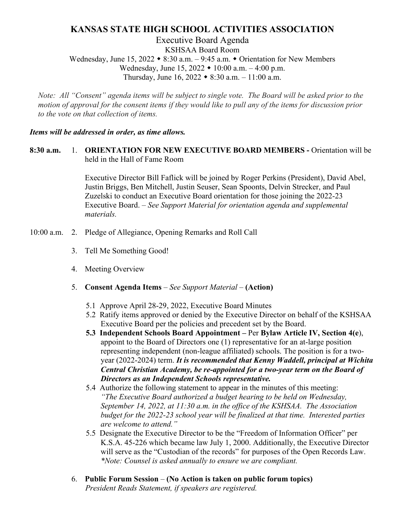# **KANSAS STATE HIGH SCHOOL ACTIVITIES ASSOCIATION**

Executive Board Agenda KSHSAA Board Room Wednesday, June 15, 2022  $\bullet$  8:30 a.m.  $-$  9:45 a.m.  $\bullet$  Orientation for New Members Wednesday, June 15,  $2022 \cdot 10:00$  a.m.  $-4:00$  p.m. Thursday, June 16,  $2022 \div 8:30$  a.m.  $-11:00$  a.m.

*Note: All "Consent" agenda items will be subject to single vote. The Board will be asked prior to the motion of approval for the consent items if they would like to pull any of the items for discussion prior to the vote on that collection of items.* 

#### *Items will be addressed in order, as time allows.*

## **8:30 a.m.** 1. **ORIENTATION FOR NEW EXECUTIVE BOARD MEMBERS -** Orientation will be held in the Hall of Fame Room

Executive Director Bill Faflick will be joined by Roger Perkins (President), David Abel, Justin Briggs, Ben Mitchell, Justin Seuser, Sean Spoonts, Delvin Strecker, and Paul Zuzelski to conduct an Executive Board orientation for those joining the 2022-23 Executive Board. *– See Support Material for orientation agenda and supplemental materials.*

- 10:00 a.m. 2. Pledge of Allegiance, Opening Remarks and Roll Call
	- 3. Tell Me Something Good!
	- 4. Meeting Overview
	- 5. **Consent Agenda Items** *– See Support Material –* **(Action)**
		- 5.1 Approve April 28-29, 2022, Executive Board Minutes
		- 5.2 Ratify items approved or denied by the Executive Director on behalf of the KSHSAA Executive Board per the policies and precedent set by the Board.
		- **5.3 Independent Schools Board Appointment –** Per **Bylaw Article IV, Section 4(e**), appoint to the Board of Directors one (1) representative for an at-large position representing independent (non-league affiliated) schools. The position is for a twoyear (2022-2024) term. *It is recommended that Kenny Waddell, principal at Wichita Central Christian Academy, be re-appointed for a two-year term on the Board of Directors as an Independent Schools representative.*
		- 5.4 Authorize the following statement to appear in the minutes of this meeting: *"The Executive Board authorized a budget hearing to be held on Wednesday, September 14, 2022, at 11:30 a.m. in the office of the KSHSAA. The Association budget for the 2022-23 school year will be finalized at that time. Interested parties are welcome to attend."*
		- 5.5 Designate the Executive Director to be the "Freedom of Information Officer" per K.S.A. 45-226 which became law July 1, 2000. Additionally, the Executive Director will serve as the "Custodian of the records" for purposes of the Open Records Law. *\*Note: Counsel is asked annually to ensure we are compliant.*
	- 6. **Public Forum Session (No Action is taken on public forum topics)** *President Reads Statement, if speakers are registered.*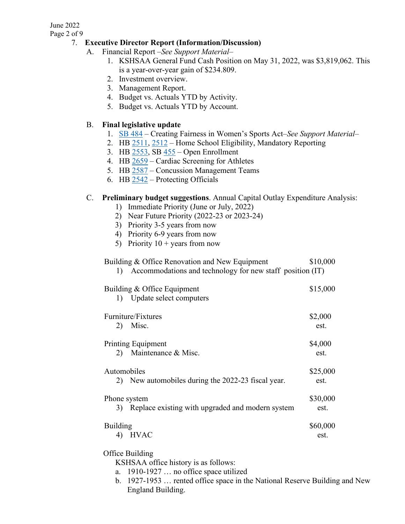#### June 2022

Page 2 of 9

## 7. **Executive Director Report (Information/Discussion)**

A. Financial Report *–See Support Material–*

- 1. KSHSAA General Fund Cash Position on May 31, 2022, was \$3,819,062. This is a year-over-year gain of \$234.809.
- 2. Investment overview.
- 3. Management Report.
- 4. Budget vs. Actuals YTD by Activity.
- 5. Budget vs. Actuals YTD by Account.

# B. **Final legislative update**

- 1. [SB 484](http://kslegislature.org/li/b2021_22/measures/sb484/) Creating Fairness in Women's Sports Act*–See Support Material–*
- 2. HB [2511,](http://kslegislature.org/li/b2021_22/measures/hb2511/) [2512](http://kslegislature.org/li/b2021_22/measures/hb2512/) Home School Eligibility, Mandatory Reporting
- 3. HB [2553,](http://kslegislature.org/li/b2021_22/measures/hb2553/) SB [455](http://kslegislature.org/li/b2021_22/measures/sb455/) Open Enrollment
- 4. HB [2659](http://kslegislature.org/li/b2021_22/measures/hb2659/) Cardiac Screening for Athletes
- 5. HB [2587](http://kslegislature.org/li/b2021_22/measures/hb2587/) Concussion Management Teams
- 6. HB [2542](http://kslegislature.org/li/b2021_22/measures/hb2542/) Protecting Officials

## C. **Preliminary budget suggestions**. Annual Capital Outlay Expenditure Analysis:

- 1) Immediate Priority (June or July, 2022)
- 2) Near Future Priority (2022-23 or 2023-24)
- 3) Priority 3-5 years from now
- 4) Priority 6-9 years from now
- 5) Priority  $10 + \text{years from now}$

# Building & Office Renovation and New Equipment \$10,000 1) Accommodations and technology for new staff position (IT) Building & Office Equipment \$15,000 1) Update select computers Furniture/Fixtures  $\$2,000$ 2) Misc. est. Printing Equipment \$4,000 2) Maintenance & Misc. est. Automobiles \$25,000 2) New automobiles during the 2022-23 fiscal year. est. Phone system  $$30,000$  3) Replace existing with upgraded and modern system est. Building \$60,000 4) HVAC est.

## Office Building

KSHSAA office history is as follows:

- a. 1910-1927 … no office space utilized
- b. 1927-1953 … rented office space in the National Reserve Building and New England Building.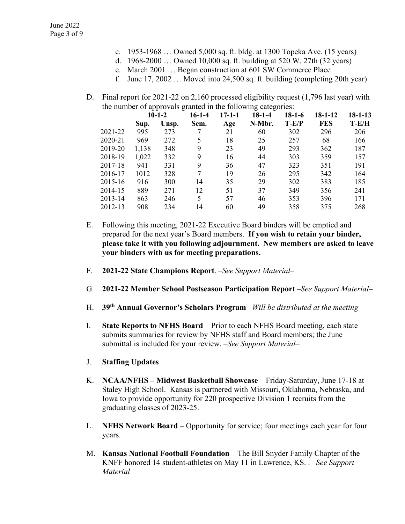- c. 1953-1968 … Owned 5,000 sq. ft. bldg. at 1300 Topeka Ave. (15 years)
- d. 1968-2000 … Owned 10,000 sq. ft. building at 520 W. 27th (32 years)
	- e. March 2001 … Began construction at 601 SW Commerce Place
- f. June 17, 2002 … Moved into 24,500 sq. ft. building (completing 20th year)
- D. Final report for 2021-22 on 2,160 processed eligibility request (1,796 last year) with the number of approvals granted in the following categories:

|         | $10-1-2$ |       | $16-1-4$ | $17 - 1 - 1$ | $18-1-4$ | $18-1-6$ | $18 - 1 - 12$ | 18-1-13 |
|---------|----------|-------|----------|--------------|----------|----------|---------------|---------|
|         | Sup.     | Unsp. | Sem.     | Age          | N-Mbr.   | $T-E/P$  | <b>FES</b>    | $T-E/H$ |
| 2021-22 | 995      | 273   |          | 21           | 60       | 302      | 296           | 206     |
| 2020-21 | 969      | 272   | 5        | 18           | 25       | 257      | 68            | 166     |
| 2019-20 | 1,138    | 348   | 9        | 23           | 49       | 293      | 362           | 187     |
| 2018-19 | 1,022    | 332   | 9        | 16           | 44       | 303      | 359           | 157     |
| 2017-18 | 941      | 331   | 9        | 36           | 47       | 323      | 351           | 191     |
| 2016-17 | 1012     | 328   | 7        | 19           | 26       | 295      | 342           | 164     |
| 2015-16 | 916      | 300   | 14       | 35           | 29       | 302      | 383           | 185     |
| 2014-15 | 889      | 271   | 12       | 51           | 37       | 349      | 356           | 241     |
| 2013-14 | 863      | 246   | 5        | 57           | 46       | 353      | 396           | 171     |
| 2012-13 | 908      | 234   | 14       | 60           | 49       | 358      | 375           | 268     |
|         |          |       |          |              |          |          |               |         |

- E. Following this meeting, 2021-22 Executive Board binders will be emptied and prepared for the next year's Board members. **If you wish to retain your binder, please take it with you following adjournment. New members are asked to leave your binders with us for meeting preparations.**
- F. **2021-22 State Champions Report**. *–See Support Material–*
- G. **2021-22 Member School Postseason Participation Report**.*–See Support Material–*
- H. **39th Annual Governor's Scholars Program** –*Will be distributed at the meeting–*
- I. **State Reports to NFHS Board** Prior to each NFHS Board meeting, each state submits summaries for review by NFHS staff and Board members; the June submittal is included for your review. *–See Support Material–*
- J. **Staffing Updates**
- K. **NCAA/NFHS – Midwest Basketball Showcase** Friday-Saturday, June 17-18 at Staley High School. Kansas is partnered with Missouri, Oklahoma, Nebraska, and Iowa to provide opportunity for 220 prospective Division 1 recruits from the graduating classes of 2023-25.
- L. **NFHS Network Board** Opportunity for service; four meetings each year for four years.
- M. **Kansas National Football Foundation** The Bill Snyder Family Chapter of the KNFF honored 14 student-athletes on May 11 in Lawrence, KS. . *–See Support Material–*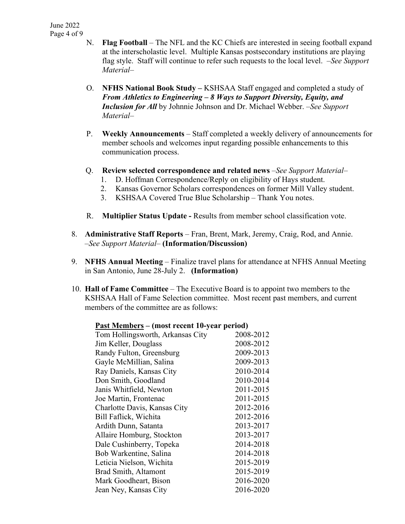- N. **Flag Football** The NFL and the KC Chiefs are interested in seeing football expand at the interscholastic level. Multiple Kansas postsecondary institutions are playing flag style. Staff will continue to refer such requests to the local level. *–See Support Material–*
- O. **NFHS National Book Study –** KSHSAA Staff engaged and completed a study of *From Athletics to Engineering – 8 Ways to Support Diversity, Equity, and Inclusion for All* by Johnnie Johnson and Dr. Michael Webber. *–See Support Material–*
- P. **Weekly Announcements**  Staff completed a weekly delivery of announcements for member schools and welcomes input regarding possible enhancements to this communication process.
- Q. **Review selected correspondence and related news** *–See Support Material–*
	- 1. D. Hoffman Correspondence/Reply on eligibility of Hays student.
	- 2. Kansas Governor Scholars correspondences on former Mill Valley student.
	- 3. KSHSAA Covered True Blue Scholarship Thank You notes.
- R. **Multiplier Status Update -** Results from member school classification vote.
- 8. **Administrative Staff Reports** Fran, Brent, Mark, Jeremy, Craig, Rod, and Annie. *–See Support Material–* **(Information/Discussion)**
- 9. **NFHS Annual Meeting**  Finalize travel plans for attendance at NFHS Annual Meeting in San Antonio, June 28-July 2. **(Information)**
- 10. **Hall of Fame Committee** The Executive Board is to appoint two members to the KSHSAA Hall of Fame Selection committee. Most recent past members, and current members of the committee are as follows:

| $\frac{1}{2}$                    |           |
|----------------------------------|-----------|
| Tom Hollingsworth, Arkansas City | 2008-2012 |
| Jim Keller, Douglass             | 2008-2012 |
| Randy Fulton, Greensburg         | 2009-2013 |
| Gayle McMillian, Salina          | 2009-2013 |
| Ray Daniels, Kansas City         | 2010-2014 |
| Don Smith, Goodland              | 2010-2014 |
| Janis Whitfield, Newton          | 2011-2015 |
| Joe Martin, Frontenac            | 2011-2015 |
| Charlotte Davis, Kansas City     | 2012-2016 |
| Bill Faflick, Wichita            | 2012-2016 |
| Ardith Dunn, Satanta             | 2013-2017 |
| Allaire Homburg, Stockton        | 2013-2017 |
| Dale Cushinberry, Topeka         | 2014-2018 |
| Bob Warkentine, Salina           | 2014-2018 |
| Leticia Nielson, Wichita         | 2015-2019 |
| Brad Smith, Altamont             | 2015-2019 |
| Mark Goodheart, Bison            | 2016-2020 |
| Jean Ney, Kansas City            | 2016-2020 |
|                                  |           |

#### **Past Members – (most recent 10-year period)**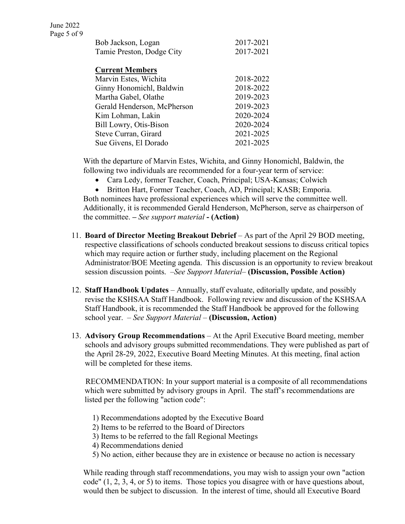| Bob Jackson, Logan        | 2017-2021 |
|---------------------------|-----------|
| Tamie Preston, Dodge City | 2017-2021 |

#### **Current Members**

| Marvin Estes, Wichita       | 2018-2022 |
|-----------------------------|-----------|
| Ginny Honomichl, Baldwin    | 2018-2022 |
| Martha Gabel, Olathe        | 2019-2023 |
| Gerald Henderson, McPherson | 2019-2023 |
| Kim Lohman, Lakin           | 2020-2024 |
| Bill Lowry, Otis-Bison      | 2020-2024 |
| Steve Curran, Girard        | 2021-2025 |
| Sue Givens, El Dorado       | 2021-2025 |

With the departure of Marvin Estes, Wichita, and Ginny Honomichl, Baldwin, the following two individuals are recommended for a four-year term of service:

• Cara Ledy, former Teacher, Coach, Principal; USA-Kansas; Colwich

• Britton Hart, Former Teacher, Coach, AD, Principal; KASB; Emporia. Both nominees have professional experiences which will serve the committee well. Additionally, it is recommended Gerald Henderson, McPherson, serve as chairperson of the committee. **–** *See support material* **- (Action)**

- 11. **Board of Director Meeting Breakout Debrief** As part of the April 29 BOD meeting, respective classifications of schools conducted breakout sessions to discuss critical topics which may require action or further study, including placement on the Regional Administrator/BOE Meeting agenda. This discussion is an opportunity to review breakout session discussion points. *–See Support Material–* **(Discussion, Possible Action)**
- 12. **Staff Handbook Updates** Annually, staff evaluate, editorially update, and possibly revise the KSHSAA Staff Handbook. Following review and discussion of the KSHSAA Staff Handbook, it is recommended the Staff Handbook be approved for the following school year. *– See Support Material –* **(Discussion, Action)**
- 13. **Advisory Group Recommendations** At the April Executive Board meeting, member schools and advisory groups submitted recommendations. They were published as part of the April 28-29, 2022, Executive Board Meeting Minutes. At this meeting, final action will be completed for these items.

RECOMMENDATION: In your support material is a composite of all recommendations which were submitted by advisory groups in April. The staff's recommendations are listed per the following "action code":

- 1) Recommendations adopted by the Executive Board
- 2) Items to be referred to the Board of Directors
- 3) Items to be referred to the fall Regional Meetings
- 4) Recommendations denied
- 5) No action, either because they are in existence or because no action is necessary

While reading through staff recommendations, you may wish to assign your own "action code" (1, 2, 3, 4, or 5) to items. Those topics you disagree with or have questions about, would then be subject to discussion. In the interest of time, should all Executive Board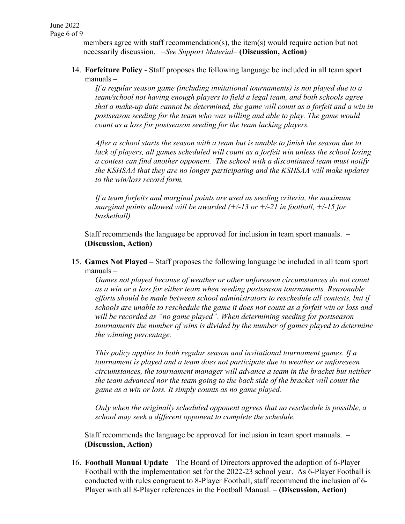members agree with staff recommendation(s), the item(s) would require action but not necessarily discussion. *–See Support Material–* **(Discussion, Action)**

14. **Forfeiture Policy** - Staff proposes the following language be included in all team sport manuals –

*If a regular season game (including invitational tournaments) is not played due to a team/school not having enough players to field a legal team, and both schools agree that a make-up date cannot be determined, the game will count as a forfeit and a win in postseason seeding for the team who was willing and able to play. The game would count as a loss for postseason seeding for the team lacking players.* 

*After a school starts the season with a team but is unable to finish the season due to lack of players, all games scheduled will count as a forfeit win unless the school losing a contest can find another opponent. The school with a discontinued team must notify the KSHSAA that they are no longer participating and the KSHSAA will make updates to the win/loss record form.* 

*If a team forfeits and marginal points are used as seeding criteria, the maximum marginal points allowed will be awarded (+/-13 or +/-21 in football, +/-15 for basketball)*

Staff recommends the language be approved for inclusion in team sport manuals. *–* **(Discussion, Action)**

15. **Games Not Played –** Staff proposes the following language be included in all team sport manuals –

*Games not played because of weather or other unforeseen circumstances do not count as a win or a loss for either team when seeding postseason tournaments. Reasonable efforts should be made between school administrators to reschedule all contests, but if schools are unable to reschedule the game it does not count as a forfeit win or loss and will be recorded as "no game played". When determining seeding for postseason tournaments the number of wins is divided by the number of games played to determine the winning percentage.* 

*This policy applies to both regular season and invitational tournament games. If a tournament is played and a team does not participate due to weather or unforeseen circumstances, the tournament manager will advance a team in the bracket but neither the team advanced nor the team going to the back side of the bracket will count the game as a win or loss. It simply counts as no game played.*

*Only when the originally scheduled opponent agrees that no reschedule is possible, a school may seek a different opponent to complete the schedule.* 

Staff recommends the language be approved for inclusion in team sport manuals. *–* **(Discussion, Action)**

16. **Football Manual Update** – The Board of Directors approved the adoption of 6-Player Football with the implementation set for the 2022-23 school year. As 6-Player Football is conducted with rules congruent to 8-Player Football, staff recommend the inclusion of 6- Player with all 8-Player references in the Football Manual. *–* **(Discussion, Action)**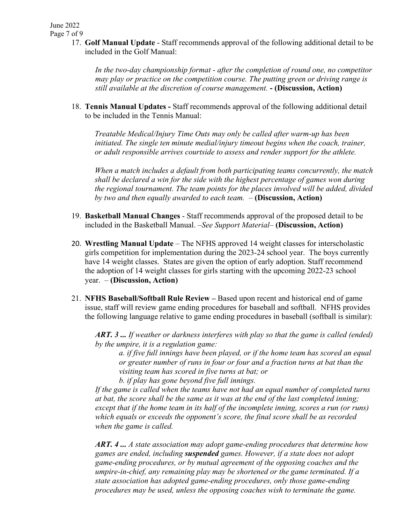17. **Golf Manual Update** - Staff recommends approval of the following additional detail to be included in the Golf Manual:

*In the two-day championship format - after the completion of round one, no competitor may play or practice on the competition course. The putting green or driving range is still available at the discretion of course management.* **- (Discussion, Action)**

18. **Tennis Manual Updates -** Staff recommends approval of the following additional detail to be included in the Tennis Manual:

*Treatable Medical/Injury Time Outs may only be called after warm-up has been initiated. The single ten minute medial/injury timeout begins when the coach, trainer, or adult responsible arrives courtside to assess and render support for the athlete.* 

*When a match includes a default from both participating teams concurrently, the match shall be declared a win for the side with the highest percentage of games won during the regional tournament. The team points for the places involved will be added, divided by two and then equally awarded to each team. –* **(Discussion, Action)**

- 19. **Basketball Manual Changes** Staff recommends approval of the proposed detail to be included in the Basketball Manual. *–See Support Material–* **(Discussion, Action)**
- 20. **Wrestling Manual Update** *–* The NFHS approved 14 weight classes for interscholastic girls competition for implementation during the 2023-24 school year. The boys currently have 14 weight classes. States are given the option of early adoption. Staff recommend the adoption of 14 weight classes for girls starting with the upcoming 2022-23 school year. – **(Discussion, Action)**
- 21. **NFHS Baseball/Softball Rule Review** *–* Based upon recent and historical end of game issue, staff will review game ending procedures for baseball and softball. NFHS provides the following language relative to game ending procedures in baseball (softball is similar):

*ART. 3 ... If weather or darkness interferes with play so that the game is called (ended) by the umpire, it is a regulation game:* 

*a. if five full innings have been played, or if the home team has scored an equal or greater number of runs in four or four and a fraction turns at bat than the visiting team has scored in five turns at bat; or* 

*b. if play has gone beyond five full innings.* 

*If the game is called when the teams have not had an equal number of completed turns at bat, the score shall be the same as it was at the end of the last completed inning; except that if the home team in its half of the incomplete inning, scores a run (or runs) which equals or exceeds the opponent's score, the final score shall be as recorded when the game is called.* 

*ART. 4 ... A state association may adopt game-ending procedures that determine how games are ended, including suspended games. However, if a state does not adopt game-ending procedures, or by mutual agreement of the opposing coaches and the umpire-in-chief, any remaining play may be shortened or the game terminated. If a state association has adopted game-ending procedures, only those game-ending procedures may be used, unless the opposing coaches wish to terminate the game.*